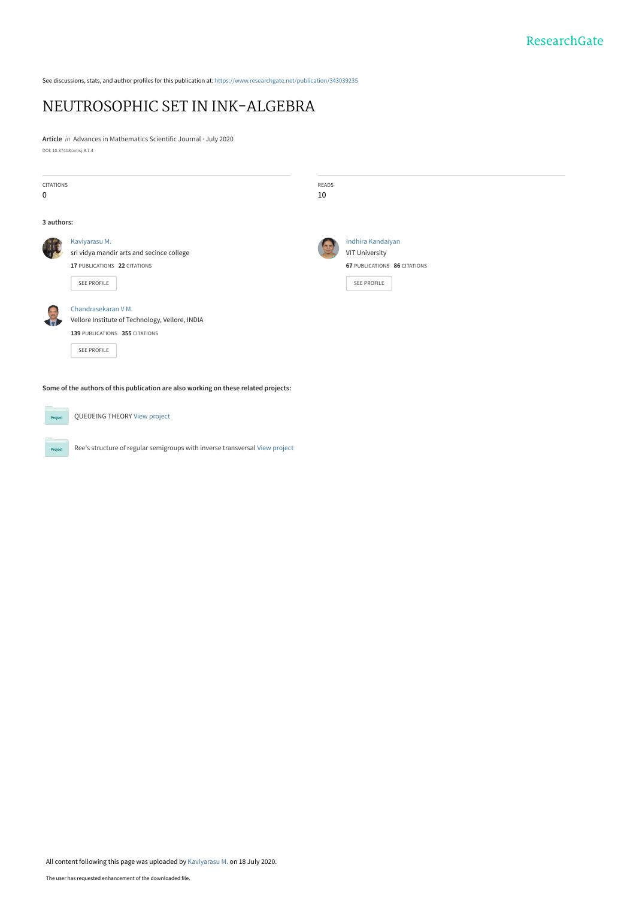See discussions, stats, and author profiles for this publication at: [https://www.researchgate.net/publication/343039235](https://www.researchgate.net/publication/343039235_NEUTROSOPHIC_SET_IN_INK-ALGEBRA?enrichId=rgreq-e7fbd3803012c2039caa955ea41b185d-XXX&enrichSource=Y292ZXJQYWdlOzM0MzAzOTIzNTtBUzo5MTQ0NzA0MDI1MjMxMzdAMTU5NTAzODE0MjgxNA%3D%3D&el=1_x_2&_esc=publicationCoverPdf)

# [NEUTROSOPHIC SET IN INK-ALGEBRA](https://www.researchgate.net/publication/343039235_NEUTROSOPHIC_SET_IN_INK-ALGEBRA?enrichId=rgreq-e7fbd3803012c2039caa955ea41b185d-XXX&enrichSource=Y292ZXJQYWdlOzM0MzAzOTIzNTtBUzo5MTQ0NzA0MDI1MjMxMzdAMTU5NTAzODE0MjgxNA%3D%3D&el=1_x_3&_esc=publicationCoverPdf)

**Article** in Advances in Mathematics Scientific Journal · July 2020 DOI: 10.37418/amsj.9.7.4

| <b>CITATIONS</b><br>0                                                               |                                                                                                                                                                                                                                      | READS<br>10 |                                                                                           |  |  |  |  |
|-------------------------------------------------------------------------------------|--------------------------------------------------------------------------------------------------------------------------------------------------------------------------------------------------------------------------------------|-------------|-------------------------------------------------------------------------------------------|--|--|--|--|
| 3 authors:                                                                          |                                                                                                                                                                                                                                      |             |                                                                                           |  |  |  |  |
|                                                                                     | Kaviyarasu M.<br>sri vidya mandir arts and secince college<br>17 PUBLICATIONS 22 CITATIONS<br>SEE PROFILE<br>Chandrasekaran V M.<br>Vellore Institute of Technology, Vellore, INDIA<br>139 PUBLICATIONS 355 CITATIONS<br>SEE PROFILE |             | Indhira Kandaiyan<br><b>VIT University</b><br>67 PUBLICATIONS 86 CITATIONS<br>SEE PROFILE |  |  |  |  |
| Some of the authors of this publication are also working on these related projects: |                                                                                                                                                                                                                                      |             |                                                                                           |  |  |  |  |
| Project                                                                             | QUEUEING THEORY View project                                                                                                                                                                                                         |             |                                                                                           |  |  |  |  |
| Project                                                                             | Ree's structure of regular semigroups with inverse transversal View project                                                                                                                                                          |             |                                                                                           |  |  |  |  |

All content following this page was uploaded by [Kaviyarasu M.](https://www.researchgate.net/profile/Kaviyarasu_M?enrichId=rgreq-e7fbd3803012c2039caa955ea41b185d-XXX&enrichSource=Y292ZXJQYWdlOzM0MzAzOTIzNTtBUzo5MTQ0NzA0MDI1MjMxMzdAMTU5NTAzODE0MjgxNA%3D%3D&el=1_x_10&_esc=publicationCoverPdf) on 18 July 2020.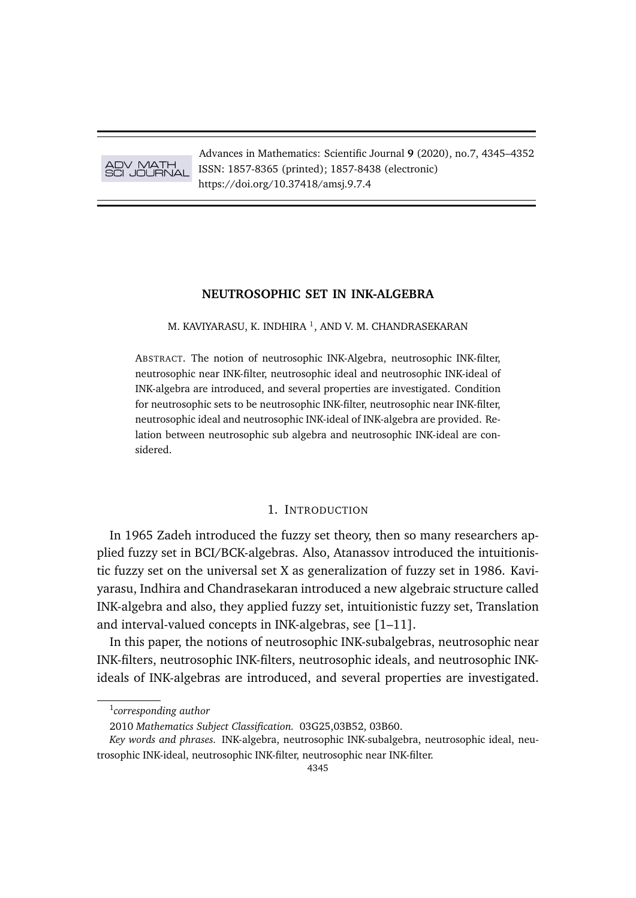ADV MATH SCI JOURNAL

Advances in Mathematics: Scientific Journal **9** (2020), no.7, 4345–4352 ISSN: 1857-8365 (printed); 1857-8438 (electronic) https://doi.org/10.37418/amsj.9.7.4

### **NEUTROSOPHIC SET IN INK-ALGEBRA**

M. KAVIYARASU, K. INDHIRA  $^1$ , AND V. M. CHANDRASEKARAN

ABSTRACT. The notion of neutrosophic INK-Algebra, neutrosophic INK-filter, neutrosophic near INK-filter, neutrosophic ideal and neutrosophic INK-ideal of INK-algebra are introduced, and several properties are investigated. Condition for neutrosophic sets to be neutrosophic INK-filter, neutrosophic near INK-filter, neutrosophic ideal and neutrosophic INK-ideal of INK-algebra are provided. Relation between neutrosophic sub algebra and neutrosophic INK-ideal are considered.

# 1. INTRODUCTION

In 1965 Zadeh introduced the fuzzy set theory, then so many researchers applied fuzzy set in BCI/BCK-algebras. Also, Atanassov introduced the intuitionistic fuzzy set on the universal set X as generalization of fuzzy set in 1986. Kaviyarasu, Indhira and Chandrasekaran introduced a new algebraic structure called INK-algebra and also, they applied fuzzy set, intuitionistic fuzzy set, Translation and interval-valued concepts in INK-algebras, see [1–11].

In this paper, the notions of neutrosophic INK-subalgebras, neutrosophic near INK-filters, neutrosophic INK-filters, neutrosophic ideals, and neutrosophic INKideals of INK-algebras are introduced, and several properties are investigated.

<sup>1</sup> *corresponding author*

<sup>2010</sup> *Mathematics Subject Classification.* 03G25,03B52, 03B60.

*Key words and phrases.* INK-algebra, neutrosophic INK-subalgebra, neutrosophic ideal, neutrosophic INK-ideal, neutrosophic INK-filter, neutrosophic near INK-filter.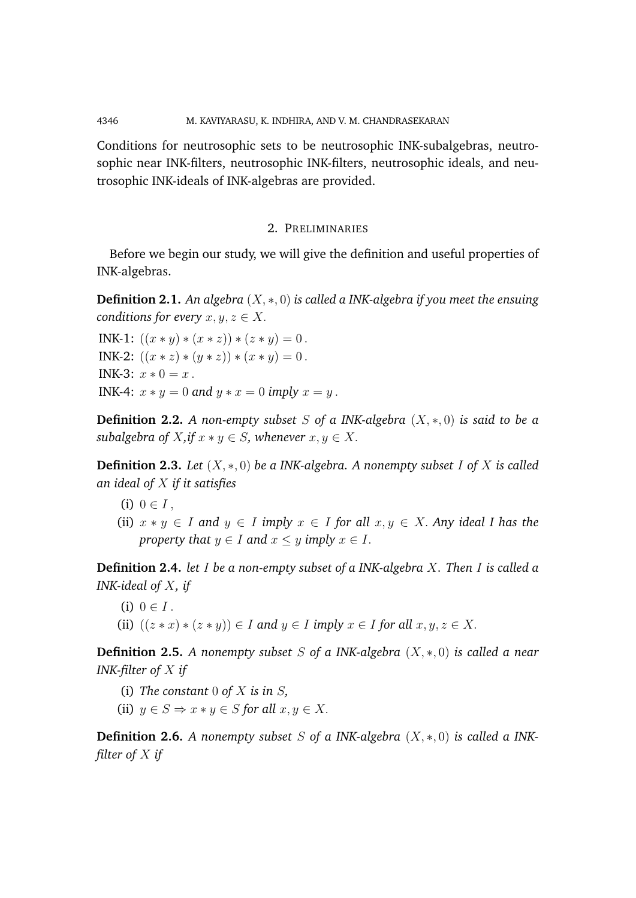4346 M. KAVIYARASU, K. INDHIRA, AND V. M. CHANDRASEKARAN

Conditions for neutrosophic sets to be neutrosophic INK-subalgebras, neutrosophic near INK-filters, neutrosophic INK-filters, neutrosophic ideals, and neutrosophic INK-ideals of INK-algebras are provided.

# 2. PRELIMINARIES

Before we begin our study, we will give the definition and useful properties of INK-algebras.

**Definition 2.1.** *An algebra* (X, ∗, 0) *is called a INK-algebra if you meet the ensuing conditions for every*  $x, y, z \in X$ .

INK-1:  $((x * y) * (x * z)) * (z * y) = 0$ . INK-2:  $((x * z) * (y * z)) * (x * y) = 0$ . INK-3:  $x * 0 = x$ . INK-4:  $x * y = 0$  and  $y * x = 0$  *imply*  $x = y$ .

**Definition 2.2.** *A non-empty subset* S *of a INK-algebra* (X, ∗, 0) *is said to be a subalgebra of*  $X$ *, if*  $x * y \in S$ *, whenever*  $x, y \in X$ *.* 

**Definition 2.3.** *Let* (X, ∗, 0) *be a INK-algebra. A nonempty subset* I *of* X *is called an ideal of* X *if it satisfies*

- (i)  $0 \in I$ ,
- (ii)  $x * y \in I$  and  $y \in I$  *imply*  $x \in I$  *for all*  $x, y \in X$ *. Any ideal I has the property that*  $y \in I$  *and*  $x \leq y$  *imply*  $x \in I$ .

**Definition 2.4.** *let* I *be a non-empty subset of a INK-algebra* X*. Then* I *is called a INK-ideal of* X*, if*

(i)  $0 \in I$ . (ii)  $((z * x) * (z * y)) \in I$  *and*  $y \in I$  *imply*  $x \in I$  *for all*  $x, y, z \in X$ .

**Definition 2.5.** *A nonempty subset* S *of a INK-algebra* (X, ∗, 0) *is called a near INK-filter of* X *if*

- (i) *The constant* 0 *of* X *is in* S*,*
- (ii)  $y \in S \Rightarrow x * y \in S$  *for all*  $x, y \in X$ .

**Definition 2.6.** *A nonempty subset* S *of a INK-algebra* (X, ∗, 0) *is called a INKfilter of* X *if*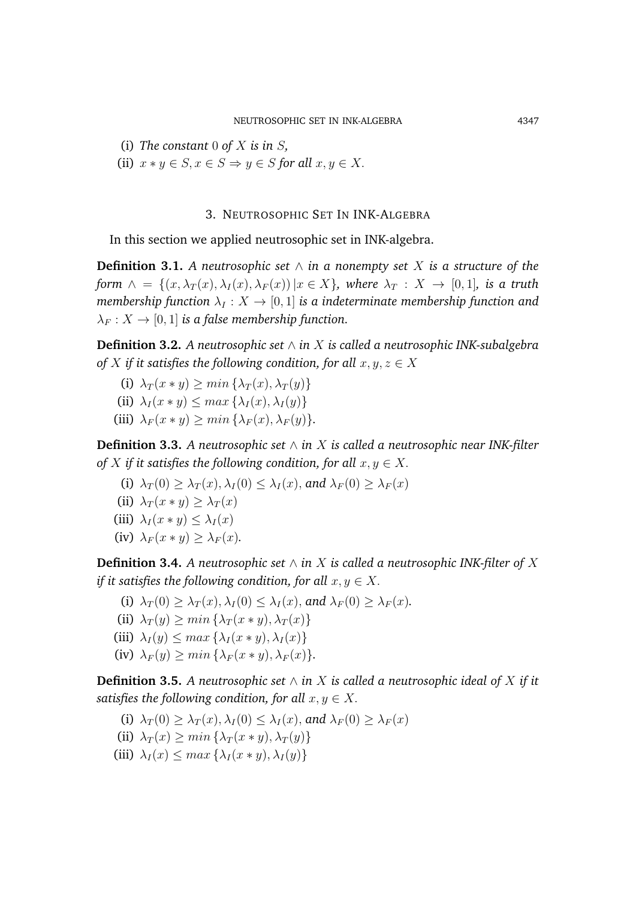(i) *The constant* 0 *of* X *is in* S*,*

(ii)  $x * y \in S, x \in S \Rightarrow y \in S$  *for all*  $x, y \in X$ .

## 3. NEUTROSOPHIC SET IN INK-ALGEBRA

In this section we applied neutrosophic set in INK-algebra.

**Definition 3.1.** A neutrosophic set  $\wedge$  *in a nonempty set* X *is a structure of the form*  $\wedge$  = { $(x, \lambda_T(x), \lambda_I(x), \lambda_F(x)) | x \in X$ }*, where*  $\lambda_T : X \to [0, 1]$ *, is a truth membership function*  $\lambda_I : X \to [0, 1]$  *is a indeterminate membership function and*  $\lambda_F : X \to [0, 1]$  *is a false membership function.* 

**Definition 3.2.** *A neutrosophic set* ∧ *in* X *is called a neutrosophic INK-subalgebra of* X *if it satisfies the following condition, for all*  $x, y, z \in X$ 

- (i)  $\lambda_T(x * y) > min\{\lambda_T(x), \lambda_T(y)\}\$
- (ii)  $\lambda_I(x * y) \leq max \{ \lambda_I(x), \lambda_I(y) \}$
- (iii)  $\lambda_F(x * y) \geq min\{\lambda_F(x), \lambda_F(y)\}.$

**Definition 3.3.** *A neutrosophic set* ∧ *in* X *is called a neutrosophic near INK-filter of* X if it satisfies the following condition, for all  $x, y \in X$ .

- (i)  $\lambda_T(0) > \lambda_T(x), \lambda_I(0) < \lambda_I(x)$ , and  $\lambda_F(0) > \lambda_F(x)$
- (ii)  $\lambda_T(x * y) \geq \lambda_T(x)$
- (iii)  $\lambda_I(x * y) \leq \lambda_I(x)$
- (iv)  $\lambda_F(x * y) \geq \lambda_F(x)$ .

**Definition 3.4.** *A neutrosophic set*  $\wedge$  *in* X *is called a neutrosophic INK-filter of* X *if it satisfies the following condition, for all*  $x, y \in X$ .

- (i)  $\lambda_T(0) \geq \lambda_T(x), \lambda_I(0) \leq \lambda_I(x)$ , and  $\lambda_F(0) \geq \lambda_F(x)$ .
- (ii)  $\lambda_T(y) \geq min \{ \lambda_T(x * y), \lambda_T(x) \}$
- (iii)  $\lambda_I(y) \leq max \{ \lambda_I(x * y), \lambda_I(x) \}$
- (iv)  $\lambda_F(y) \geq min \{ \lambda_F(x * y), \lambda_F(x) \}.$

**Definition 3.5.** A neutrosophic set  $\wedge$  in X is called a neutrosophic ideal of X if it *satisfies the following condition, for all*  $x, y \in X$ .

- (i)  $\lambda_T(0) > \lambda_T(x), \lambda_I(0) < \lambda_I(x)$ , and  $\lambda_F(0) > \lambda_F(x)$
- (ii)  $\lambda_T(x) \geq min \{ \lambda_T(x * y), \lambda_T(y) \}$
- (iii)  $\lambda_I(x) \leq max \{ \lambda_I(x * y), \lambda_I(y) \}$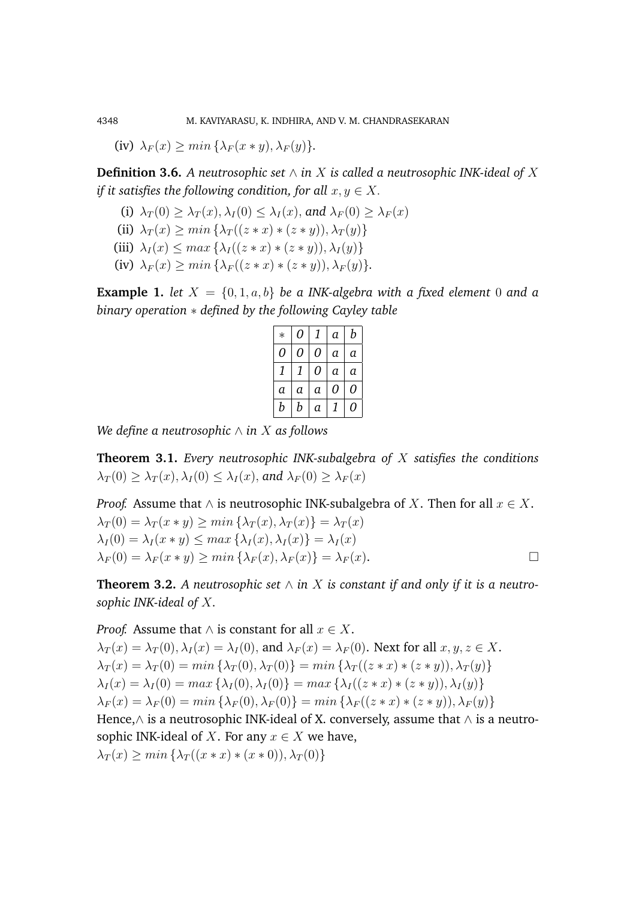(iv)  $\lambda_F(x) > min\{\lambda_F(x*y), \lambda_F(y)\}.$ 

**Definition 3.6.** *A neutrosophic set*  $∧$  *in*  $X$  *is called a neutrosophic INK-ideal of*  $X$ *if it satisfies the following condition, for all*  $x, y \in X$ .

- (i)  $\lambda_T(0) > \lambda_T(x), \lambda_I(0) < \lambda_I(x)$ , and  $\lambda_F(0) > \lambda_F(x)$
- (ii)  $\lambda_T(x) > min \{ \lambda_T((z*x)*(z*y)), \lambda_T(y) \}$
- (iii)  $\lambda_I(x) \leq max \left\{ \lambda_I((z * x) * (z * y)), \lambda_I(y) \right\}$
- (iv)  $\lambda_F(x) > min \{ \lambda_F((z*x)*(z*y)), \lambda_F(y) \}.$

**Example 1.** *let*  $X = \{0, 1, a, b\}$  *be a INK-algebra with a fixed element* 0 *and a binary operation* ∗ *defined by the following Cayley table*

| $\ast$ | 0 | 1 | a              | b  |
|--------|---|---|----------------|----|
| 0      | 0 | 0 | a              | а  |
| 1      | 1 | 0 | a              | а  |
| а      | a | а | 0              | 0  |
| b      | b | а | $\mathfrak{r}$ | () |

*We define a neutrosophic* ∧ *in* X *as follows*

**Theorem 3.1.** *Every neutrosophic INK-subalgebra of* X *satisfies the conditions*  $\lambda_T(0) \geq \lambda_T(x), \lambda_I(0) \leq \lambda_I(x)$ , and  $\lambda_F(0) \geq \lambda_F(x)$ 

*Proof.* Assume that  $\wedge$  is neutrosophic INK-subalgebra of X. Then for all  $x \in X$ .  $\lambda_T(0) = \lambda_T(x * y) > min\left\{\lambda_T(x), \lambda_T(x)\right\} = \lambda_T(x)$  $\lambda_I(0) = \lambda_I(x * y) \leq max \{ \lambda_I(x), \lambda_I(x) \} = \lambda_I(x)$  $\lambda_F(0) = \lambda_F(x * y) > min \{ \lambda_F(x), \lambda_F(x) \} = \lambda_F(x).$ 

**Theorem 3.2.** A neutrosophic set  $\wedge$  in X is constant if and only if it is a neutro*sophic INK-ideal of* X*.*

*Proof.* Assume that  $\land$  is constant for all  $x \in X$ .  $\lambda_T(x) = \lambda_T(0), \lambda_I(x) = \lambda_I(0)$ , and  $\lambda_F(x) = \lambda_F(0)$ . Next for all  $x, y, z \in X$ .  $\lambda_T(x) = \lambda_T(0) = \min \left\{ \lambda_T(0), \lambda_T(0) \right\} = \min \left\{ \lambda_T((z * x) * (z * y)), \lambda_T(y) \right\}$  $\lambda_I(x) = \lambda_I(0) = \max \left\{ \lambda_I(0), \lambda_I(0) \right\} = \max \left\{ \lambda_I((z * x) * (z * y)), \lambda_I(y) \right\}$  $\lambda_F(x) = \lambda_F(0) = \min \left\{ \lambda_F(0), \lambda_F(0) \right\} = \min \left\{ \lambda_F((z * x) * (z * y)), \lambda_F(y) \right\}$ Hence, $\wedge$  is a neutrosophic INK-ideal of X. conversely, assume that  $\wedge$  is a neutrosophic INK-ideal of X. For any  $x \in X$  we have,  $\lambda_T(x) \geq \min \left\{ \lambda_T((x * x) * (x * 0)), \lambda_T(0) \right\}$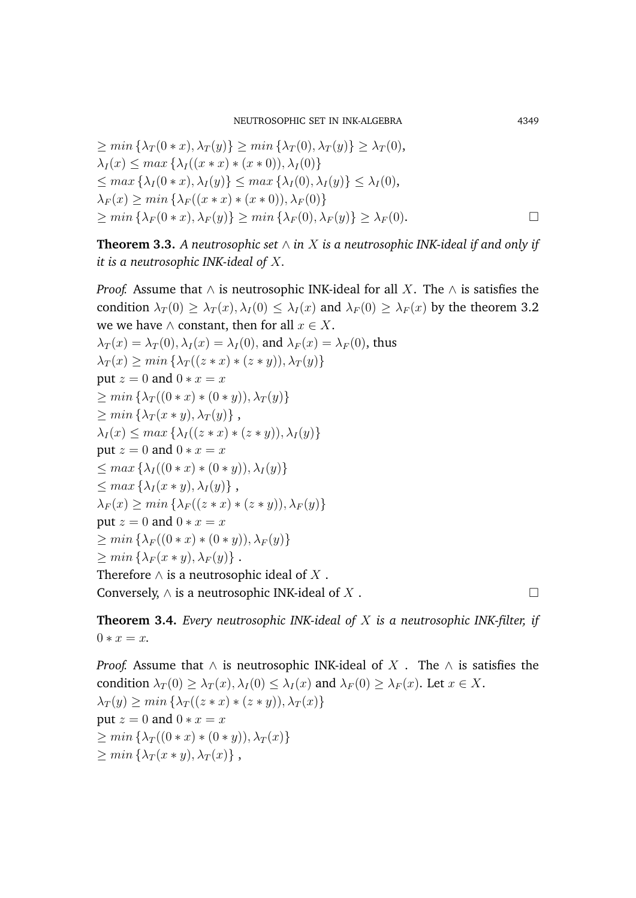NEUTROSOPHIC SET IN INK-ALGEBRA 4349

$$
\geq \min\left\{\lambda_T(0*x), \lambda_T(y)\right\} \geq \min\left\{\lambda_T(0), \lambda_T(y)\right\} \geq \lambda_T(0),
$$
  
\n
$$
\lambda_I(x) \leq \max\left\{\lambda_I((x*x)*(x*0)), \lambda_I(0)\right\}
$$
  
\n
$$
\leq \max\left\{\lambda_I(0*x), \lambda_I(y)\right\} \leq \max\left\{\lambda_I(0), \lambda_I(y)\right\} \leq \lambda_I(0),
$$
  
\n
$$
\lambda_F(x) \geq \min\left\{\lambda_F((x*x)*(x*0)), \lambda_F(0)\right\}
$$
  
\n
$$
\geq \min\left\{\lambda_F(0*x), \lambda_F(y)\right\} \geq \min\left\{\lambda_F(0), \lambda_F(y)\right\} \geq \lambda_F(0).
$$

**Theorem 3.3.** A neutrosophic set  $\wedge$  in X is a neutrosophic INK-ideal if and only if *it is a neutrosophic INK-ideal of* X*.*

*Proof.* Assume that  $\land$  is neutrosophic INK-ideal for all X. The  $\land$  is satisfies the condition  $\lambda_T(0) \geq \lambda_T(x), \lambda_I(0) \leq \lambda_I(x)$  and  $\lambda_F(0) \geq \lambda_F(x)$  by the theorem 3.2 we we have  $\wedge$  constant, then for all  $x \in X$ .  $\lambda_T(x) = \lambda_T(0), \lambda_I(x) = \lambda_I(0)$ , and  $\lambda_F(x) = \lambda_F(0)$ , thus  $\lambda_T(x) \geq \min \left\{ \lambda_T((z * x) * (z * y)), \lambda_T(y) \right\}$ put  $z = 0$  and  $0 * x = x$  $> min \left\{ \lambda_T((0 * x) * (0 * y)), \lambda_T(y) \right\}$  $> min \{ \lambda_T(x * y), \lambda_T(y) \},$  $\lambda_I(x) \leq max \left\{ \lambda_I((z * x) * (z * y)), \lambda_I(y) \right\}$ put  $z = 0$  and  $0 * x = x$  $\leq max \left\{ \lambda_I((0 * x) * (0 * y)), \lambda_I(y) \right\}$  $\langle max\left\{\lambda_I(x*y),\lambda_I(y)\right\}\right\rangle$  $\lambda_F(x) \geq \min \left\{ \lambda_F((z*x)*(z*y)), \lambda_F(y) \right\}$ put  $z = 0$  and  $0 * x = x$  $> min \{ \lambda_F((0 * x) * (0 * y)), \lambda_F(y) \}$  $> min \{ \lambda_F(x * y), \lambda_F(y) \}$ . Therefore  $\wedge$  is a neutrosophic ideal of X. Conversely,  $\wedge$  is a neutrosophic INK-ideal of X.

**Theorem 3.4.** *Every neutrosophic INK-ideal of* X *is a neutrosophic INK-filter, if*  $0 * r = r.$ 

*Proof.* Assume that  $\land$  is neutrosophic INK-ideal of X. The  $\land$  is satisfies the condition  $\lambda_T(0) > \lambda_T(x)$ ,  $\lambda_I(0) < \lambda_I(x)$  and  $\lambda_F(0) > \lambda_F(x)$ . Let  $x \in X$ .  $\lambda_T(y) \geq \min \left\{ \lambda_T((z*x)*(z*y)), \lambda_T(x) \right\}$ put  $z = 0$  and  $0 * x = x$  $\geq min \left\{ \lambda_T((0 * x) * (0 * y)), \lambda_T(x) \right\}$  $\geq min\left\{\lambda_T(x*y),\lambda_T(x)\right\},$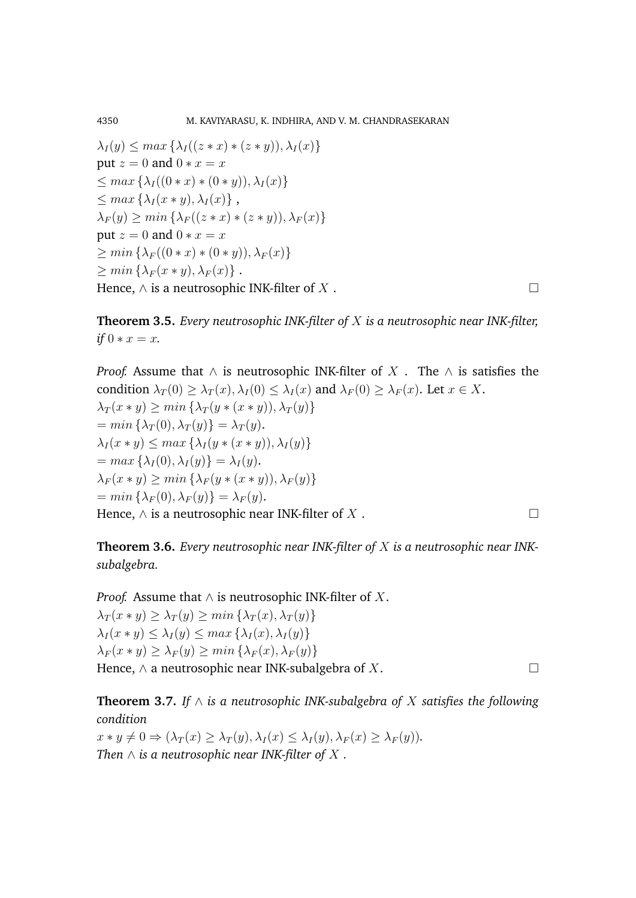$$
\lambda_I(y) \leq \max \{ \lambda_I((z * x) * (z * y)), \lambda_I(x) \}
$$
  
put  $z = 0$  and  $0 * x = x$   

$$
\leq \max \{ \lambda_I((0 * x) * (0 * y)), \lambda_I(x) \}
$$
  

$$
\leq \max \{ \lambda_I(x * y), \lambda_I(x) \},
$$
  

$$
\lambda_F(y) \geq \min \{ \lambda_F((z * x) * (z * y)), \lambda_F(x) \}
$$
  
put  $z = 0$  and  $0 * x = x$   

$$
\geq \min \{ \lambda_F((0 * x) * (0 * y)), \lambda_F(x) \}
$$
  

$$
\geq \min \{ \lambda_F(x * y), \lambda_F(x) \}.
$$
  
Hence,  $\wedge$  is a neutrosophic INK-filter of  $X$ .

**Theorem 3.5.** *Every neutrosophic INK-filter of* X *is a neutrosophic near INK-filter, if*  $0 * x = x$ *.* 

*Proof.* Assume that  $\land$  is neutrosophic INK-filter of X. The  $\land$  is satisfies the condition  $\lambda_T(0) \geq \lambda_T(x)$ ,  $\lambda_I(0) \leq \lambda_I(x)$  and  $\lambda_F(0) \geq \lambda_F(x)$ . Let  $x \in X$ .  $\lambda_T(x * y) \geq min \left\{ \lambda_T(y * (x * y)), \lambda_T(y) \right\}$  $= min \left\{ \lambda_T (0), \lambda_T (y) \right\} = \lambda_T (y).$  $\lambda_I(x * y) \leq max \{ \lambda_I(y * (x * y)), \lambda_I(y) \}$  $= max \{ \lambda_I (0), \lambda_I (y) \} = \lambda_I (y).$  $\lambda_F(x * y) \geq min \left\{ \lambda_F(y * (x * y)), \lambda_F(y) \right\}$  $= min \{\lambda_F(0), \lambda_F(y)\} = \lambda_F(y).$ Hence,  $\wedge$  is a neutrosophic near INK-filter of X.

**Theorem 3.6.** *Every neutrosophic near INK-filter of* X *is a neutrosophic near INKsubalgebra.*

*Proof.* Assume that  $\land$  is neutrosophic INK-filter of  $X$ .  $\lambda_T(x * y) \geq \lambda_T(y) \geq min \{ \lambda_T(x), \lambda_T(y) \}$  $\lambda_I(x * y) \leq \lambda_I(y) \leq max \{ \lambda_I(x), \lambda_I(y) \}$  $\lambda_F(x * y) \geq \lambda_F(y) \geq min\left\{\lambda_F(x), \lambda_F(y)\right\}$ Hence,  $\wedge$  a neutrosophic near INK-subalgebra of X.

**Theorem 3.7.** *If* ∧ *is a neutrosophic INK-subalgebra of* X *satisfies the following condition*

 $x * y \neq 0 \Rightarrow (\lambda_T(x) \geq \lambda_T(y), \lambda_I(x) \leq \lambda_I(y), \lambda_F(x) \geq \lambda_F(y)).$ *Then*  $\wedge$  *is a neutrosophic near INK-filter of*  $X$ .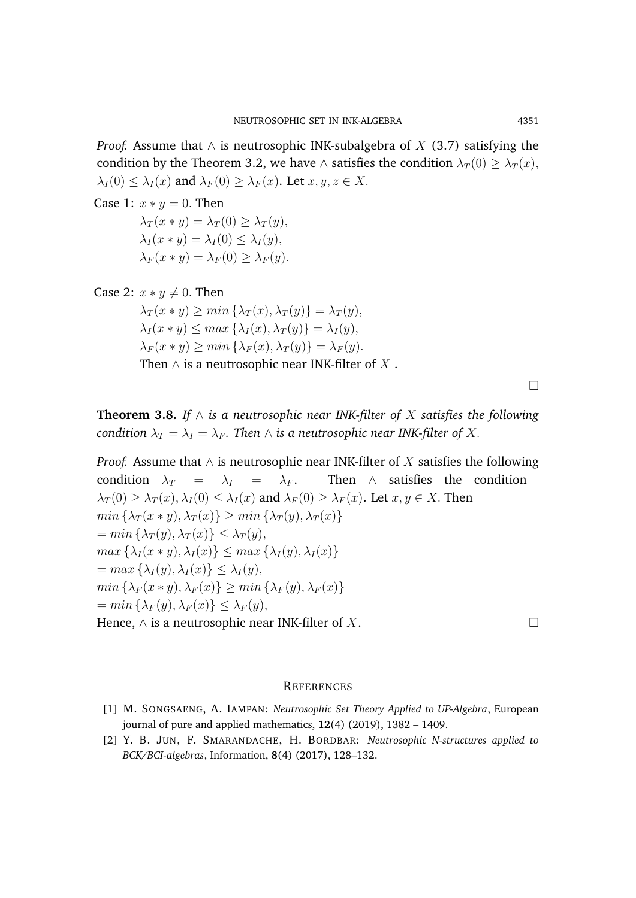*Proof.* Assume that  $\land$  is neutrosophic INK-subalgebra of X (3.7) satisfying the condition by the Theorem 3.2, we have ∧ satisfies the condition  $\lambda_T(0) \geq \lambda_T(x)$ ,  $\lambda_I(0) \leq \lambda_I(x)$  and  $\lambda_F(0) \geq \lambda_F(x)$ . Let  $x, y, z \in X$ .

Case 1:  $x * y = 0$ . Then

 $\lambda_T(x * y) = \lambda_T(0) \geq \lambda_T(y),$  $\lambda_I(x * y) = \lambda_I(0) \leq \lambda_I(y),$  $\lambda_F(x * y) = \lambda_F(0) \geq \lambda_F(y).$ 

Case 2:  $x * y \neq 0$ . Then

 $\lambda_T(x * y) > min \{ \lambda_T(x), \lambda_T(y) \} = \lambda_T(y),$  $\lambda_I(x * y) \leq max \{ \lambda_I(x), \lambda_T(y) \} = \lambda_I(y),$  $\lambda_F(x * y) \geq min \{ \lambda_F(x), \lambda_T(y) \} = \lambda_F(y).$ 

Then  $\wedge$  is a neutrosophic near INK-filter of X.

 $\Box$ 

**Theorem 3.8.** If  $\wedge$  is a neutrosophic near INK-filter of X satisfies the following *condition*  $\lambda_T = \lambda_I = \lambda_F$ . Then  $\wedge$  *is a neutrosophic near INK-filter of X.* 

*Proof.* Assume that  $\wedge$  is neutrosophic near INK-filter of X satisfies the following condition  $\lambda_T = \lambda_I = \lambda_F$ . Then  $\wedge$  satisfies the condition  $\lambda_T(0) > \lambda_T(x), \lambda_I(0) < \lambda_I(x)$  and  $\lambda_F(0) > \lambda_F(x)$ . Let  $x, y \in X$ . Then  $min\{\lambda_T(x*y),\lambda_T(x)\}\geq min\{\lambda_T(y),\lambda_T(x)\}\$  $= min \left\{ \lambda_T(y), \lambda_T(x) \right\} \leq \lambda_T(y),$  $max\{\lambda_I(x*y),\lambda_I(x)\}\leq max\{\lambda_I(y),\lambda_I(x)\}$  $= max \{ \lambda_I(y), \lambda_I(x) \} \leq \lambda_I(y),$  $min\{\lambda_F(x*y),\lambda_F(x)\}\geq min\{\lambda_F(y),\lambda_F(x)\}$  $= min \{ \lambda_F(y), \lambda_F(x) \} \leq \lambda_F(y),$ Hence,  $\wedge$  is a neutrosophic near INK-filter of X.

#### **REFERENCES**

- [1] M. SONGSAENG, A. IAMPAN: *Neutrosophic Set Theory Applied to UP-Algebra*, European journal of pure and applied mathematics, **12**(4) (2019), 1382 – 1409.
- [2] Y. B. JUN, F. SMARANDACHE, H. BORDBAR: *Neutrosophic N-structures applied to BCK/BCI-algebras*, Information, **8**(4) (2017), 128–132.